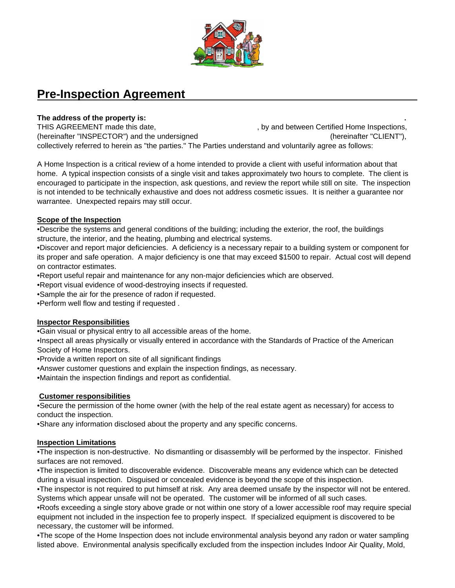

# **Pre-Inspection Agreement**

# **The address of the property is: .**

THIS AGREEMENT made this date,  $\qquad \qquad$ , by and between Certified Home Inspections, (hereinafter "INSPECTOR") and the undersigned (hereinafter "CLIENT"), collectively referred to herein as "the parties." The Parties understand and voluntarily agree as follows:

A Home Inspection is a critical review of a home intended to provide a client with useful information about that home. A typical inspection consists of a single visit and takes approximately two hours to complete. The client is encouraged to participate in the inspection, ask questions, and review the report while still on site. The inspection is not intended to be technically exhaustive and does not address cosmetic issues. It is neither a guarantee nor warrantee. Unexpected repairs may still occur.

### **Scope of the Inspection**

•Describe the systems and general conditions of the building; including the exterior, the roof, the buildings structure, the interior, and the heating, plumbing and electrical systems.

•Discover and report major deficiencies. A deficiency is a necessary repair to a building system or component for its proper and safe operation. A major deficiency is one that may exceed \$1500 to repair. Actual cost will depend on contractor estimates.

•Report useful repair and maintenance for any non-major deficiencies which are observed.

•Report visual evidence of wood-destroying insects if requested.

•Sample the air for the presence of radon if requested.

•Perform well flow and testing if requested .

# **Inspector Responsibilities**

•Gain visual or physical entry to all accessible areas of the home.

•Inspect all areas physically or visually entered in accordance with the Standards of Practice of the American Society of Home Inspectors.

•Provide a written report on site of all significant findings

•Answer customer questions and explain the inspection findings, as necessary.

•Maintain the inspection findings and report as confidential.

# **Customer responsibilities**

•Secure the permission of the home owner (with the help of the real estate agent as necessary) for access to conduct the inspection.

•Share any information disclosed about the property and any specific concerns.

# **Inspection Limitations**

•The inspection is non-destructive. No dismantling or disassembly will be performed by the inspector. Finished surfaces are not removed.

•The inspection is limited to discoverable evidence. Discoverable means any evidence which can be detected during a visual inspection. Disguised or concealed evidence is beyond the scope of this inspection.

•The inspector is not required to put himself at risk. Any area deemed unsafe by the inspector will not be entered. Systems which appear unsafe will not be operated. The customer will be informed of all such cases.

•Roofs exceeding a single story above grade or not within one story of a lower accessible roof may require special equipment not included in the inspection fee to properly inspect. If specialized equipment is discovered to be necessary, the customer will be informed.

•The scope of the Home Inspection does not include environmental analysis beyond any radon or water sampling listed above. Environmental analysis specifically excluded from the inspection includes Indoor Air Quality, Mold,